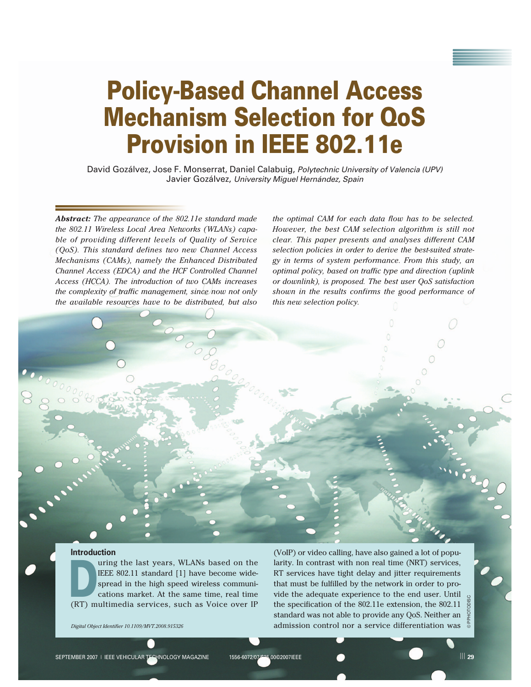# **Policy-Based Channel Access Mechanism Selection for QoS Provision in IEEE 802.11e**

David Gozálvez, Jose F. Monserrat, Daniel Calabuig, *Polytechnic University of Valencia (UPV)* Javier Gozálvez, *University Miguel Hernández, Spain*

*Abstract: The appearance of the 802.11e standard made the 802.11 Wireless Local Area Networks (WLANs) capable of providing different levels of Quality of Service (QoS). This standard defines two new Channel Access Mechanisms (CAMs), namely the Enhanced Distributed Channel Access (EDCA) and the HCF Controlled Channel Access (HCCA). The introduction of two CAMs increases the complexity of traffic management, since now not only the available resources have to be distributed, but also*

*the optimal CAM for each data flow has to be selected. However, the best CAM selection algorithm is still not clear. This paper presents and analyses different CAM selection policies in order to derive the best-suited strategy in terms of system performance. From this study, an optimal policy, based on traffic type and direction (uplink or downlink), is proposed. The best user QoS satisfaction shown in the results confirms the good performance of this new selection policy.*

#### **Introduction**

The last years, WLANs based on the<br>
IEEE 802.11 standard [1] have become wide-<br>
spread in the high speed wireless communi-<br>
cations market. At the same time, real time<br>
The multimedia same in the same wise-IEEE 802.11 standard [1] have become widespread in the high speed wireless communications market. At the same time, real time (RT) multimedia services, such as Voice over IP

*Digital Object Identifier 10.1109/MVT.2008.915326*

(VoIP) or video calling, have also gained a lot of popularity. In contrast with non real time (NRT) services, RT services have tight delay and jitter requirements that must be fulfilled by the network in order to provide the adequate experience to the end user. Until the specification of the 802.11e extension, the 802.11 standard was not able to provide any QoS. Neither an admission control nor a service differentiation was

© PPHOTODISC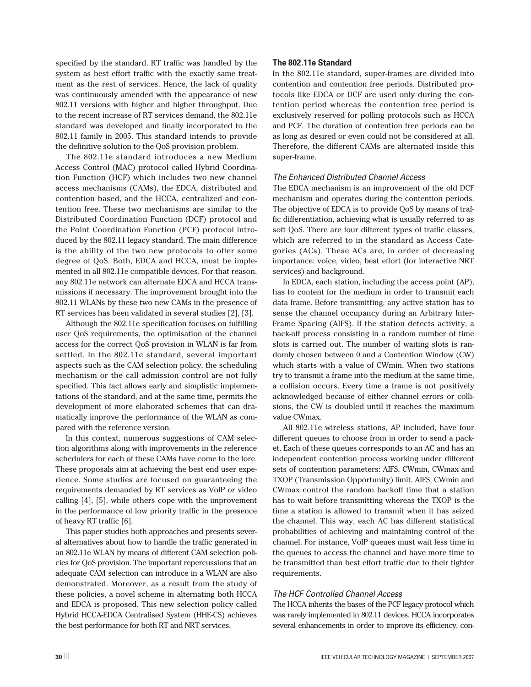specified by the standard. RT traffic was handled by the system as best effort traffic with the exactly same treatment as the rest of services. Hence, the lack of quality was continuously amended with the appearance of new 802.11 versions with higher and higher throughput. Due to the recent increase of RT services demand, the 802.11e standard was developed and finally incorporated to the 802.11 family in 2005. This standard intends to provide the definitive solution to the QoS provision problem.

The 802.11e standard introduces a new Medium Access Control (MAC) protocol called Hybrid Coordination Function (HCF) which includes two new channel access mechanisms (CAMs), the EDCA, distributed and contention based, and the HCCA, centralized and contention free. These two mechanisms are similar to the Distributed Coordination Function (DCF) protocol and the Point Coordination Function (PCF) protocol introduced by the 802.11 legacy standard. The main difference is the ability of the two new protocols to offer some degree of QoS. Both, EDCA and HCCA, must be implemented in all 802.11e compatible devices. For that reason, any 802.11e network can alternate EDCA and HCCA transmissions if necessary. The improvement brought into the 802.11 WLANs by these two new CAMs in the presence of RT services has been validated in several studies [2], [3].

Although the 802.11e specification focuses on fulfilling user QoS requirements, the optimisation of the channel access for the correct QoS provision in WLAN is far from settled. In the 802.11e standard, several important aspects such as the CAM selection policy, the scheduling mechanism or the call admission control are not fully specified. This fact allows early and simplistic implementations of the standard, and at the same time, permits the development of more elaborated schemes that can dramatically improve the performance of the WLAN as compared with the reference version.

In this context, numerous suggestions of CAM selection algorithms along with improvements in the reference schedulers for each of these CAMs have come to the fore. These proposals aim at achieving the best end user experience. Some studies are focused on guaranteeing the requirements demanded by RT services as VoIP or video calling [4], [5], while others cope with the improvement in the performance of low priority traffic in the presence of heavy RT traffic [6].

This paper studies both approaches and presents several alternatives about how to handle the traffic generated in an 802.11e WLAN by means of different CAM selection policies for QoS provision. The important repercussions that an adequate CAM selection can introduce in a WLAN are also demonstrated. Moreover, as a result from the study of these policies, a novel scheme in alternating both HCCA and EDCA is proposed. This new selection policy called Hybrid HCCA-EDCA Centralised System (HHE-CS) achieves the best performance for both RT and NRT services.

# **The 802.11e Standard**

In the 802.11e standard, super-frames are divided into contention and contention free periods. Distributed protocols like EDCA or DCF are used only during the contention period whereas the contention free period is exclusively reserved for polling protocols such as HCCA and PCF. The duration of contention free periods can be as long as desired or even could not be considered at all. Therefore, the different CAMs are alternated inside this super-frame.

## *The Enhanced Distributed Channel Access*

The EDCA mechanism is an improvement of the old DCF mechanism and operates during the contention periods. The objective of EDCA is to provide QoS by means of traffic differentiation, achieving what is usually referred to as soft QoS. There are four different types of traffic classes, which are referred to in the standard as Access Categories (ACs). These ACs are, in order of decreasing importance: voice, video, best effort (for interactive NRT services) and background.

In EDCA, each station, including the access point (AP), has to content for the medium in order to transmit each data frame. Before transmitting, any active station has to sense the channel occupancy during an Arbitrary Inter-Frame Spacing (AIFS). If the station detects activity, a back-off process consisting in a random number of time slots is carried out. The number of waiting slots is randomly chosen between 0 and a Contention Window (CW) which starts with a value of CWmin. When two stations try to transmit a frame into the medium at the same time, a collision occurs. Every time a frame is not positively acknowledged because of either channel errors or collisions, the CW is doubled until it reaches the maximum value CWmax.

All 802.11e wireless stations, AP included, have four different queues to choose from in order to send a packet. Each of these queues corresponds to an AC and has an independent contention process working under different sets of contention parameters: AIFS, CWmin, CWmax and TXOP (Transmission Opportunity) limit. AIFS, CWmin and CWmax control the random backoff time that a station has to wait before transmitting whereas the TXOP is the time a station is allowed to transmit when it has seized the channel. This way, each AC has different statistical probabilities of achieving and maintaining control of the channel. For instance, VoIP queues must wait less time in the queues to access the channel and have more time to be transmitted than best effort traffic due to their tighter requirements.

## *The HCF Controlled Channel Access*

The HCCA inherits the bases of the PCF legacy protocol which was rarely implemented in 802.11 devices. HCCA incorporates several enhancements in order to improve its efficiency, con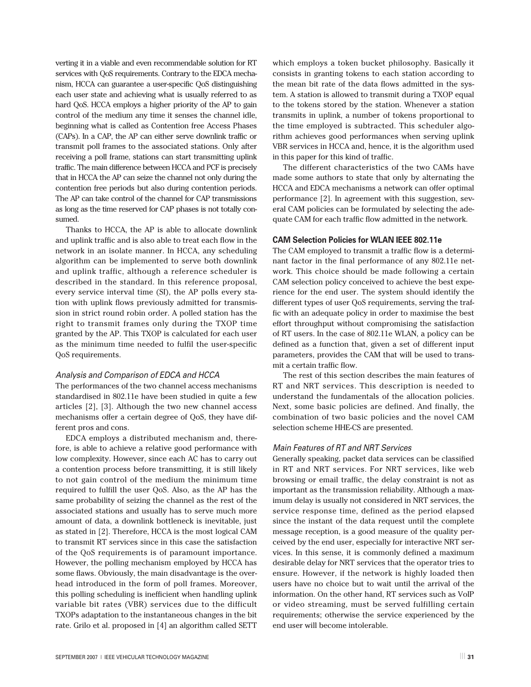verting it in a viable and even recommendable solution for RT services with QoS requirements. Contrary to the EDCA mechanism, HCCA can guarantee a user-specific QoS distinguishing each user state and achieving what is usually referred to as hard QoS. HCCA employs a higher priority of the AP to gain control of the medium any time it senses the channel idle, beginning what is called as Contention free Access Phases (CAPs). In a CAP, the AP can either serve downlink traffic or transmit poll frames to the associated stations. Only after receiving a poll frame, stations can start transmitting uplink traffic. The main difference between HCCA and PCF is precisely that in HCCA the AP can seize the channel not only during the contention free periods but also during contention periods. The AP can take control of the channel for CAP transmissions as long as the time reserved for CAP phases is not totally consumed.

Thanks to HCCA, the AP is able to allocate downlink and uplink traffic and is also able to treat each flow in the network in an isolate manner. In HCCA, any scheduling algorithm can be implemented to serve both downlink and uplink traffic, although a reference scheduler is described in the standard. In this reference proposal, every service interval time (SI), the AP polls every station with uplink flows previously admitted for transmission in strict round robin order. A polled station has the right to transmit frames only during the TXOP time granted by the AP. This TXOP is calculated for each user as the minimum time needed to fulfil the user-specific QoS requirements.

## *Analysis and Comparison of EDCA and HCCA*

The performances of the two channel access mechanisms standardised in 802.11e have been studied in quite a few articles [2], [3]. Although the two new channel access mechanisms offer a certain degree of QoS, they have different pros and cons.

EDCA employs a distributed mechanism and, therefore, is able to achieve a relative good performance with low complexity. However, since each AC has to carry out a contention process before transmitting, it is still likely to not gain control of the medium the minimum time required to fulfill the user QoS. Also, as the AP has the same probability of seizing the channel as the rest of the associated stations and usually has to serve much more amount of data, a downlink bottleneck is inevitable, just as stated in [2]. Therefore, HCCA is the most logical CAM to transmit RT services since in this case the satisfaction of the QoS requirements is of paramount importance. However, the polling mechanism employed by HCCA has some flaws. Obviously, the main disadvantage is the overhead introduced in the form of poll frames. Moreover, this polling scheduling is inefficient when handling uplink variable bit rates (VBR) services due to the difficult TXOPs adaptation to the instantaneous changes in the bit rate. Grilo et al. proposed in [4] an algorithm called SETT which employs a token bucket philosophy. Basically it consists in granting tokens to each station according to the mean bit rate of the data flows admitted in the system. A station is allowed to transmit during a TXOP equal to the tokens stored by the station. Whenever a station transmits in uplink, a number of tokens proportional to the time employed is subtracted. This scheduler algorithm achieves good performances when serving uplink VBR services in HCCA and, hence, it is the algorithm used in this paper for this kind of traffic.

The different characteristics of the two CAMs have made some authors to state that only by alternating the HCCA and EDCA mechanisms a network can offer optimal performance [2]. In agreement with this suggestion, several CAM policies can be formulated by selecting the adequate CAM for each traffic flow admitted in the network.

#### **CAM Selection Policies for WLAN IEEE 802.11e**

The CAM employed to transmit a traffic flow is a determinant factor in the final performance of any 802.11e network. This choice should be made following a certain CAM selection policy conceived to achieve the best experience for the end user. The system should identify the different types of user QoS requirements, serving the traffic with an adequate policy in order to maximise the best effort throughput without compromising the satisfaction of RT users. In the case of 802.11e WLAN, a policy can be defined as a function that, given a set of different input parameters, provides the CAM that will be used to transmit a certain traffic flow.

The rest of this section describes the main features of RT and NRT services. This description is needed to understand the fundamentals of the allocation policies. Next, some basic policies are defined. And finally, the combination of two basic policies and the novel CAM selection scheme HHE-CS are presented.

## *Main Features of RT and NRT Services*

Generally speaking, packet data services can be classified in RT and NRT services. For NRT services, like web browsing or email traffic, the delay constraint is not as important as the transmission reliability. Although a maximum delay is usually not considered in NRT services, the service response time, defined as the period elapsed since the instant of the data request until the complete message reception, is a good measure of the quality perceived by the end user, especially for interactive NRT services. In this sense, it is commonly defined a maximum desirable delay for NRT services that the operator tries to ensure. However, if the network is highly loaded then users have no choice but to wait until the arrival of the information. On the other hand, RT services such as VoIP or video streaming, must be served fulfilling certain requirements; otherwise the service experienced by the end user will become intolerable.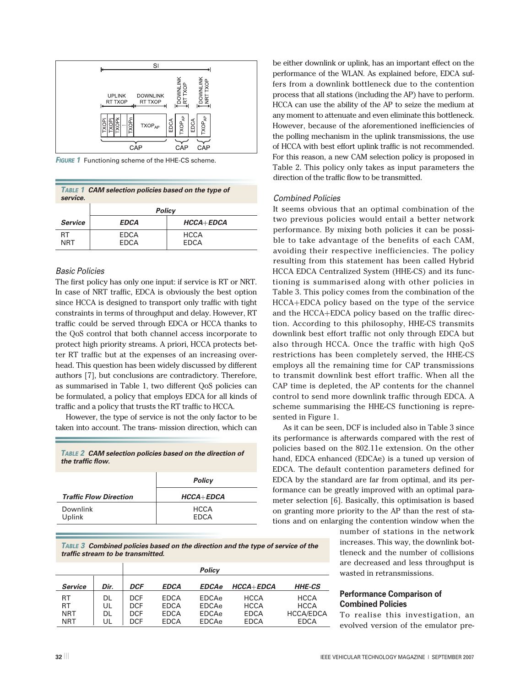

**FIGURE 1** Functioning scheme of the HHE-CS scheme.

| TABLE 1 CAM selection policies based on the type of<br>service. |                            |                            |  |  |  |  |  |
|-----------------------------------------------------------------|----------------------------|----------------------------|--|--|--|--|--|
|                                                                 | Policy                     |                            |  |  |  |  |  |
| <b>Service</b>                                                  | <b>EDCA</b>                | <b>HCCA+EDCA</b>           |  |  |  |  |  |
| RT<br><b>NRT</b>                                                | <b>EDCA</b><br><b>FDCA</b> | <b>HCCA</b><br><b>FDCA</b> |  |  |  |  |  |

## *Basic Policies*

The first policy has only one input: if service is RT or NRT. In case of NRT traffic, EDCA is obviously the best option since HCCA is designed to transport only traffic with tight constraints in terms of throughput and delay. However, RT traffic could be served through EDCA or HCCA thanks to the QoS control that both channel access incorporate to protect high priority streams. A priori, HCCA protects better RT traffic but at the expenses of an increasing overhead. This question has been widely discussed by different authors [7], but conclusions are contradictory. Therefore, as summarised in Table 1, two different QoS policies can be formulated, a policy that employs EDCA for all kinds of traffic and a policy that trusts the RT traffic to HCCA.

However, the type of service is not the only factor to be taken into account. The trans- mission direction, which can

*TABLE 2 CAM selection policies based on the direction of the traffic flow.*

|                               | <b>Policy</b>              |  |  |
|-------------------------------|----------------------------|--|--|
| <b>Traffic Flow Direction</b> | HCCA+EDCA                  |  |  |
| Downlink<br>Uplink            | <b>HCCA</b><br><b>FDCA</b> |  |  |

*TABLE 3 Combined policies based on the direction and the type of service of the traffic stream to be transmitted.*

|                |      | <b>Policy</b> |             |              |                  |                  |
|----------------|------|---------------|-------------|--------------|------------------|------------------|
| <b>Service</b> | Dir. | DCF           | <b>EDCA</b> | <b>EDCAe</b> | <b>HCCA+EDCA</b> | <b>HHE-CS</b>    |
| RT             | DL   | DCF           | <b>EDCA</b> | EDCAe        | <b>HCCA</b>      | <b>HCCA</b>      |
| <b>RT</b>      | UL   | DCF           | <b>EDCA</b> | EDCAe        | <b>HCCA</b>      | <b>HCCA</b>      |
| <b>NRT</b>     | DL   | DCF           | <b>EDCA</b> | EDCAe        | <b>EDCA</b>      | <b>HCCA/EDCA</b> |
| <b>NRT</b>     | UL   | DCF           | <b>EDCA</b> | EDCAe        | <b>EDCA</b>      | <b>EDCA</b>      |

be either downlink or uplink, has an important effect on the performance of the WLAN. As explained before, EDCA suffers from a downlink bottleneck due to the contention process that all stations (including the AP) have to perform. HCCA can use the ability of the AP to seize the medium at any moment to attenuate and even eliminate this bottleneck. However, because of the aforementioned inefficiencies of the polling mechanism in the uplink transmissions, the use of HCCA with best effort uplink traffic is not recommended. For this reason, a new CAM selection policy is proposed in Table 2. This policy only takes as input parameters the direction of the traffic flow to be transmitted.

## *Combined Policies*

It seems obvious that an optimal combination of the two previous policies would entail a better network performance. By mixing both policies it can be possible to take advantage of the benefits of each CAM, avoiding their respective inefficiencies. The policy resulting from this statement has been called Hybrid HCCA EDCA Centralized System (HHE-CS) and its functioning is summarised along with other policies in Table 3. This policy comes from the combination of the HCCA+EDCA policy based on the type of the service and the HCCA+EDCA policy based on the traffic direction. According to this philosophy, HHE-CS transmits downlink best effort traffic not only through EDCA but also through HCCA. Once the traffic with high QoS restrictions has been completely served, the HHE-CS employs all the remaining time for CAP transmissions to transmit downlink best effort traffic. When all the CAP time is depleted, the AP contents for the channel control to send more downlink traffic through EDCA. A scheme summarising the HHE-CS functioning is represented in Figure 1.

As it can be seen, DCF is included also in Table 3 since its performance is afterwards compared with the rest of policies based on the 802.11e extension. On the other hand, EDCA enhanced (EDCAe) is a tuned up version of EDCA. The default contention parameters defined for EDCA by the standard are far from optimal, and its performance can be greatly improved with an optimal parameter selection [6]. Basically, this optimisation is based on granting more priority to the AP than the rest of stations and on enlarging the contention window when the

> number of stations in the network increases. This way, the downlink bottleneck and the number of collisions are decreased and less throughput is wasted in retransmissions.

# **Performance Comparison of Combined Policies**

To realise this investigation, an evolved version of the emulator pre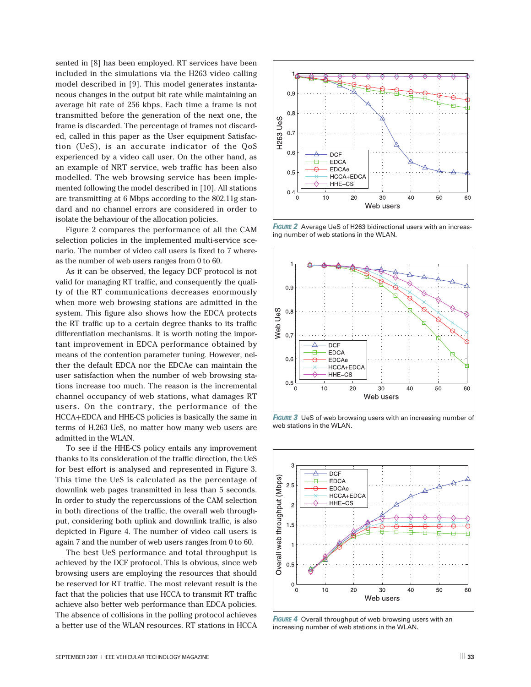sented in [8] has been employed. RT services have been included in the simulations via the H263 video calling model described in [9]. This model generates instantaneous changes in the output bit rate while maintaining an average bit rate of 256 kbps. Each time a frame is not transmitted before the generation of the next one, the frame is discarded. The percentage of frames not discarded, called in this paper as the User equipment Satisfaction (UeS), is an accurate indicator of the QoS experienced by a video call user. On the other hand, as an example of NRT service, web traffic has been also modelled. The web browsing service has been implemented following the model described in [10]. All stations are transmitting at 6 Mbps according to the 802.11g standard and no channel errors are considered in order to isolate the behaviour of the allocation policies.

Figure 2 compares the performance of all the CAM selection policies in the implemented multi-service scenario. The number of video call users is fixed to 7 whereas the number of web users ranges from 0 to 60.

As it can be observed, the legacy DCF protocol is not valid for managing RT traffic, and consequently the quality of the RT communications decreases enormously when more web browsing stations are admitted in the system. This figure also shows how the EDCA protects the RT traffic up to a certain degree thanks to its traffic differentiation mechanisms. It is worth noting the important improvement in EDCA performance obtained by means of the contention parameter tuning. However, neither the default EDCA nor the EDCAe can maintain the user satisfaction when the number of web browsing stations increase too much. The reason is the incremental channel occupancy of web stations, what damages RT users. On the contrary, the performance of the HCCA+EDCA and HHE-CS policies is basically the same in terms of H.263 UeS, no matter how many web users are admitted in the WLAN.

To see if the HHE-CS policy entails any improvement thanks to its consideration of the traffic direction, the UeS for best effort is analysed and represented in Figure 3. This time the UeS is calculated as the percentage of downlink web pages transmitted in less than 5 seconds. In order to study the repercussions of the CAM selection in both directions of the traffic, the overall web throughput, considering both uplink and downlink traffic, is also depicted in Figure 4. The number of video call users is again 7 and the number of web users ranges from 0 to 60.

The best UeS performance and total throughput is achieved by the DCF protocol. This is obvious, since web browsing users are employing the resources that should be reserved for RT traffic. The most relevant result is the fact that the policies that use HCCA to transmit RT traffic achieve also better web performance than EDCA policies. The absence of collisions in the polling protocol achieves a better use of the WLAN resources. RT stations in HCCA



*FIGURE* 2 Average UeS of H263 bidirectional users with an increasing number of web stations in the WLAN.



**FIGURE 3** UeS of web browsing users with an increasing number of web stations in the WLAN.



**FIGURE 4** Overall throughput of web browsing users with an increasing number of web stations in the WLAN.